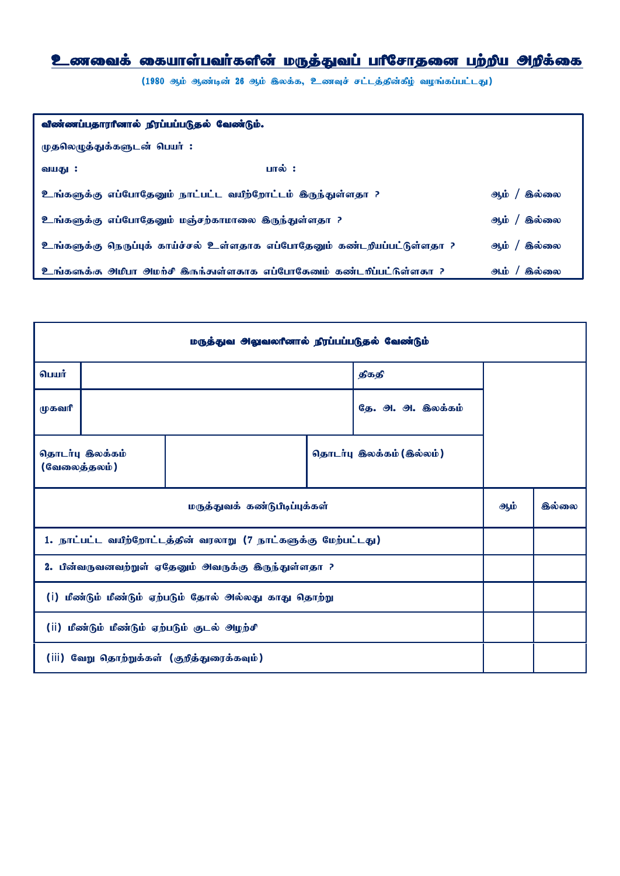## <u>உணவைக் கையாள்பவர்களின் மருத்துவப் பாீசோதனை பற்றிய அறிக்கை</u>

(1980 ஆம் ஆண்டின் 26 ஆம் இலக்க, உணவுச் சட்டத்தின்கீழ் வழங்கப்பட்டது)

| விண்ணப்பதாரானால் நிரப்பப்படுதல் வேண்டும்.                                        |                             |  |  |  |  |  |  |
|----------------------------------------------------------------------------------|-----------------------------|--|--|--|--|--|--|
| முதலெழுத்துக்களுடன் பெயர் :                                                      |                             |  |  |  |  |  |  |
| பால் :<br>வயது :                                                                 |                             |  |  |  |  |  |  |
| உங்களுக்கு எப்போதேனும் நாட்பட்ட வயீற்றோட்டம் இருந்துள்ளதா ?                      | கில்லை<br>அம்               |  |  |  |  |  |  |
| உங்களுக்கு எப்போதேனும் மஞ்சற்காமாலை இருந்துள்ளதா ?                               | ֍ல்லை<br>ஆற்                |  |  |  |  |  |  |
| <u>உங்களுக்கு நெருப்புக் காய்ச்சல் உள்ளதாக எப்போதேனும் கண்டறியப்பட்டுள்ளதா ?</u> | <b>இல்லை</b><br>$9$ hid $/$ |  |  |  |  |  |  |
| ூங்களுக்கு அமிபா அமற்சி இருந்துள்ளதாக எப்போகேயைப் கண்டறிப்பட்டுள்ளதா ?           | கில்லை<br>ஆம்               |  |  |  |  |  |  |

| மருத்துவ அலுவலரீனால் நிரப்பப்படுதல் வேண்டும்                   |                 |  |       |                          |        |  |  |  |
|----------------------------------------------------------------|-----------------|--|-------|--------------------------|--------|--|--|--|
| பெயர்                                                          |                 |  | திகதி |                          |        |  |  |  |
| முகவரி                                                         |                 |  |       | தே. அ. அ. இலக்கம்        |        |  |  |  |
| (வேலைத்தலம்)                                                   | தொடர்பு இலக்கம் |  |       | தொடர்பு இலக்கம் (இல்லம்) |        |  |  |  |
| மருத்துவக் கண்டுபிடிப்புக்கள்                                  |                 |  |       | ஆம்                      | கில்லை |  |  |  |
| 1. நாட்பட்ட வயீற்றோட்டத்தின் வரலாறு (7 நாட்களுக்கு மேற்பட்டது) |                 |  |       |                          |        |  |  |  |
| 2. பின்வருவனவற்றுள் ஏதேனும் அவருக்கு இருந்துள்ளதா ?            |                 |  |       |                          |        |  |  |  |
| மீண்டும் மீண்டும் ஏற்படும் தோல் அல்லது காது தொற்று<br>(i)      |                 |  |       |                          |        |  |  |  |
| (ii) மீண்டும் மீண்டும் ஏற்படும் குடல் அழற்சி                   |                 |  |       |                          |        |  |  |  |
| வேறு தொற்றுக்கள் (குறித்துரைக்கவும்)<br>(iii)                  |                 |  |       |                          |        |  |  |  |